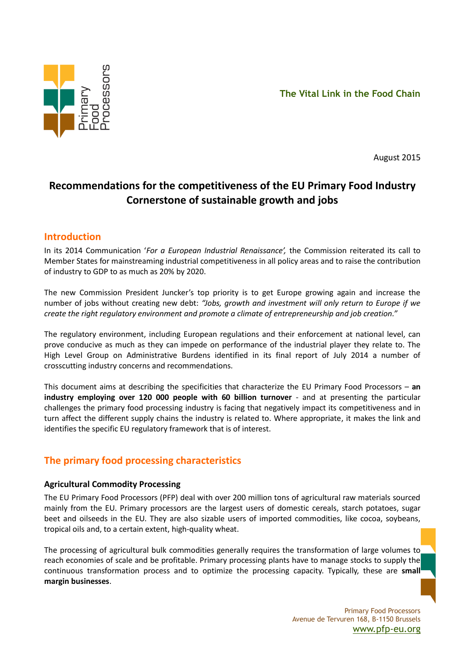

August 2015

# **Recommendations for the competitiveness of the EU Primary Food Industry Cornerstone of sustainable growth and jobs**

## **Introduction**

In its 2014 Communication '*For a European Industrial Renaissance',* the Commission reiterated its call to Member States for mainstreaming industrial competitiveness in all policy areas and to raise the contribution of industry to GDP to as much as 20% by 2020.

The new Commission President Juncker's top priority is to get Europe growing again and increase the number of jobs without creating new debt: *"Jobs, growth and investment will only return to Europe if we create the right regulatory environment and promote a climate of entrepreneurship and job creation."*

The regulatory environment, including European regulations and their enforcement at national level, can prove conducive as much as they can impede on performance of the industrial player they relate to. The High Level Group on Administrative Burdens identified in its final report of July 2014 a number of crosscutting industry concerns and recommendations.

This document aims at describing the specificities that characterize the EU Primary Food Processors – **an industry employing over 120 000 people with 60 billion turnover** - and at presenting the particular challenges the primary food processing industry is facing that negatively impact its competitiveness and in turn affect the different supply chains the industry is related to. Where appropriate, it makes the link and identifies the specific EU regulatory framework that is of interest.

## **The primary food processing characteristics**

### **Agricultural Commodity Processing**

The EU Primary Food Processors (PFP) deal with over 200 million tons of agricultural raw materials sourced mainly from the EU. Primary processors are the largest users of domestic cereals, starch potatoes, sugar beet and oilseeds in the EU. They are also sizable users of imported commodities, like cocoa, soybeans, tropical oils and, to a certain extent, high-quality wheat.

The processing of agricultural bulk commodities generally requires the transformation of large volumes to reach economies of scale and be profitable. Primary processing plants have to manage stocks to supply the continuous transformation process and to optimize the processing capacity. Typically, these are **small margin businesses**.

> Primary Food Processors Avenue de Tervuren 168, B-1150 Brussels [www.pfp-eu.org](http://www.pfp-eu.org/)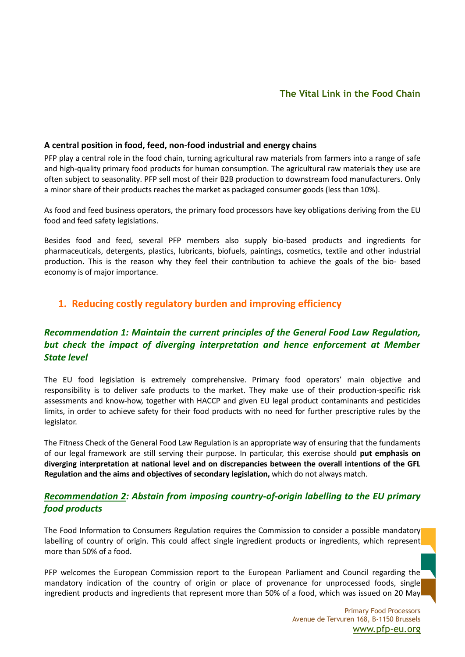## **The Vital Link in the Food Chain**

#### **A central position in food, feed, non-food industrial and energy chains**

PFP play a central role in the food chain, turning agricultural raw materials from farmers into a range of safe and high-quality primary food products for human consumption. The agricultural raw materials they use are often subject to seasonality. PFP sell most of their B2B production to downstream food manufacturers. Only a minor share of their products reaches the market as packaged consumer goods (less than 10%).

As food and feed business operators, the primary food processors have key obligations deriving from the EU food and feed safety legislations.

Besides food and feed, several PFP members also supply bio-based products and ingredients for pharmaceuticals, detergents, plastics, lubricants, biofuels, paintings, cosmetics, textile and other industrial production. This is the reason why they feel their contribution to achieve the goals of the bio- based economy is of major importance.

## **1. Reducing costly regulatory burden and improving efficiency**

## *Recommendation 1: Maintain the current principles of the General Food Law Regulation, but check the impact of diverging interpretation and hence enforcement at Member State level*

The EU food legislation is extremely comprehensive. Primary food operators' main objective and responsibility is to deliver safe products to the market. They make use of their production-specific risk assessments and know-how, together with HACCP and given EU legal product contaminants and pesticides limits, in order to achieve safety for their food products with no need for further prescriptive rules by the legislator.

The Fitness Check of the General Food Law Regulation is an appropriate way of ensuring that the fundaments of our legal framework are still serving their purpose. In particular, this exercise should **put emphasis on diverging interpretation at national level and on discrepancies between the overall intentions of the GFL Regulation and the aims and objectives of secondary legislation,** which do not always match.

### *Recommendation 2: Abstain from imposing country-of-origin labelling to the EU primary food products*

The Food Information to Consumers Regulation requires the Commission to consider a possible mandatory labelling of country of origin. This could affect single ingredient products or ingredients, which represent more than 50% of a food.

PFP welcomes the European Commission report to the European Parliament and Council regarding the mandatory indication of the country of origin or place of provenance for unprocessed foods, single ingredient products and ingredients that represent more than 50% of a food, which was issued on 20 May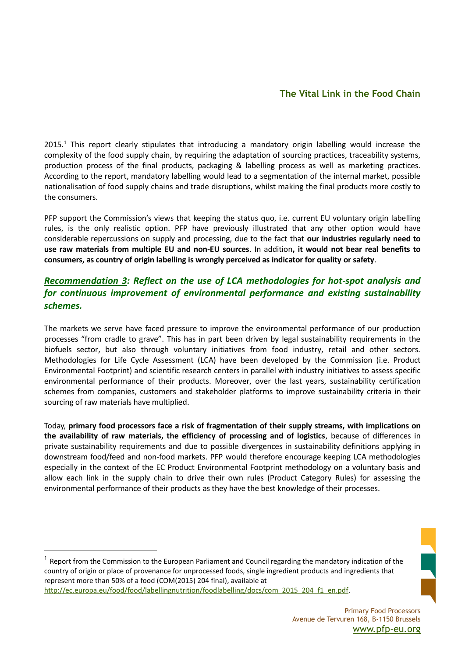## **The Vital Link in the Food Chain**

2015.<sup>1</sup> This report clearly stipulates that introducing a mandatory origin labelling would increase the complexity of the food supply chain, by requiring the adaptation of sourcing practices, traceability systems, production process of the final products, packaging & labelling process as well as marketing practices. According to the report, mandatory labelling would lead to a segmentation of the internal market, possible nationalisation of food supply chains and trade disruptions, whilst making the final products more costly to the consumers.

PFP support the Commission's views that keeping the status quo, i.e. current EU voluntary origin labelling rules, is the only realistic option. PFP have previously illustrated that any other option would have considerable repercussions on supply and processing, due to the fact that **our industries regularly need to use raw materials from multiple EU and non-EU sources**. In addition**, it would not bear real benefits to consumers, as country of origin labelling is wrongly perceived as indicator for quality or safety**.

## *Recommendation 3: Reflect on the use of LCA methodologies for hot-spot analysis and for continuous improvement of environmental performance and existing sustainability schemes.*

The markets we serve have faced pressure to improve the environmental performance of our production processes "from cradle to grave". This has in part been driven by legal sustainability requirements in the biofuels sector, but also through voluntary initiatives from food industry, retail and other sectors. Methodologies for Life Cycle Assessment (LCA) have been developed by the Commission (i.e. Product Environmental Footprint) and scientific research centers in parallel with industry initiatives to assess specific environmental performance of their products. Moreover, over the last years, sustainability certification schemes from companies, customers and stakeholder platforms to improve sustainability criteria in their sourcing of raw materials have multiplied.

Today, **primary food processors face a risk of fragmentation of their supply streams, with implications on the availability of raw materials, the efficiency of processing and of logistics**, because of differences in private sustainability requirements and due to possible divergences in sustainability definitions applying in downstream food/feed and non-food markets. PFP would therefore encourage keeping LCA methodologies especially in the context of the EC Product Environmental Footprint methodology on a voluntary basis and allow each link in the supply chain to drive their own rules (Product Category Rules) for assessing the environmental performance of their products as they have the best knowledge of their processes.

<sup>1</sup> Report from the Commission to the European Parliament and Council regarding the mandatory indication of the country of origin or place of provenance for unprocessed foods, single ingredient products and ingredients that represent more than 50% of a food (COM(2015) 204 final), available at [http://ec.europa.eu/food/food/labellingnutrition/foodlabelling/docs/com\\_2015\\_204\\_f1\\_en.pdf.](http://ec.europa.eu/food/food/labellingnutrition/foodlabelling/docs/com_2015_204_f1_en.pdf)

<u>.</u>

Primary Food Processors Avenue de Tervuren 168, B-1150 Brussels [www.pfp-eu.org](http://www.pfp-eu.org/)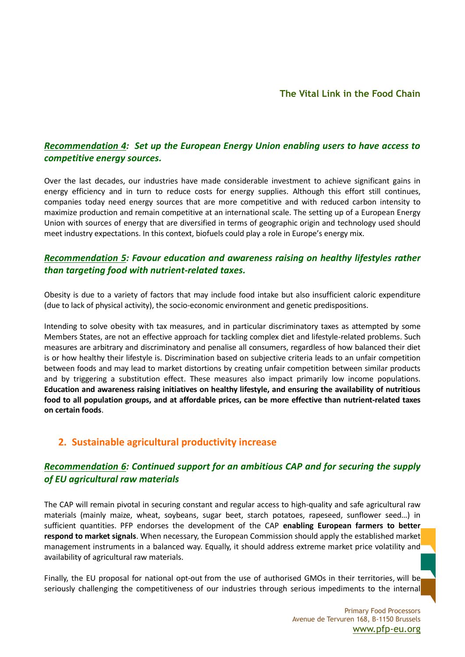## *Recommendation 4: Set up the European Energy Union enabling users to have access to competitive energy sources.*

Over the last decades, our industries have made considerable investment to achieve significant gains in energy efficiency and in turn to reduce costs for energy supplies. Although this effort still continues, companies today need energy sources that are more competitive and with reduced carbon intensity to maximize production and remain competitive at an international scale. The setting up of a European Energy Union with sources of energy that are diversified in terms of geographic origin and technology used should meet industry expectations. In this context, biofuels could play a role in Europe's energy mix.

## *Recommendation 5: Favour education and awareness raising on healthy lifestyles rather than targeting food with nutrient-related taxes.*

Obesity is due to a variety of factors that may include food intake but also insufficient caloric expenditure (due to lack of physical activity), the socio-economic environment and genetic predispositions.

Intending to solve obesity with tax measures, and in particular discriminatory taxes as attempted by some Members States, are not an effective approach for tackling complex diet and lifestyle-related problems. Such measures are arbitrary and discriminatory and penalise all consumers, regardless of how balanced their diet is or how healthy their lifestyle is. Discrimination based on subjective criteria leads to an unfair competition between foods and may lead to market distortions by creating unfair competition between similar products and by triggering a substitution effect. These measures also impact primarily low income populations. **Education and awareness raising initiatives on healthy lifestyle, and ensuring the availability of nutritious food to all population groups, and at affordable prices, can be more effective than nutrient-related taxes on certain foods**.

## **2. Sustainable agricultural productivity increase**

## *Recommendation 6: Continued support for an ambitious CAP and for securing the supply of EU agricultural raw materials*

The CAP will remain pivotal in securing constant and regular access to high-quality and safe agricultural raw materials (mainly maize, wheat, soybeans, sugar beet, starch potatoes, rapeseed, sunflower seed…) in sufficient quantities. PFP endorses the development of the CAP **enabling European farmers to better respond to market signals**. When necessary, the European Commission should apply the established market management instruments in a balanced way. Equally, it should address extreme market price volatility and availability of agricultural raw materials.

Finally, the EU proposal for national opt-out from the use of authorised GMOs in their territories, will be seriously challenging the competitiveness of our industries through serious impediments to the internal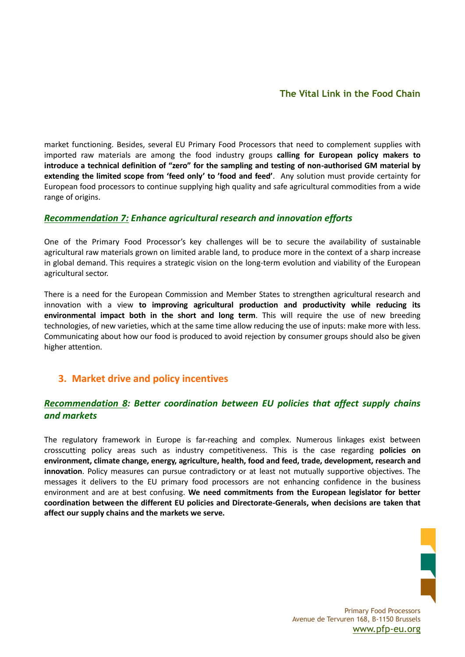market functioning. Besides, several EU Primary Food Processors that need to complement supplies with imported raw materials are among the food industry groups **calling for European policy makers to introduce a technical definition of "zero" for the sampling and testing of non-authorised GM material by extending the limited scope from 'feed only' to 'food and feed'**. Any solution must provide certainty for European food processors to continue supplying high quality and safe agricultural commodities from a wide range of origins.

#### *Recommendation 7: Enhance agricultural research and innovation efforts*

One of the Primary Food Processor's key challenges will be to secure the availability of sustainable agricultural raw materials grown on limited arable land, to produce more in the context of a sharp increase in global demand. This requires a strategic vision on the long-term evolution and viability of the European agricultural sector.

There is a need for the European Commission and Member States to strengthen agricultural research and innovation with a view **to improving agricultural production and productivity while reducing its environmental impact both in the short and long term**. This will require the use of new breeding technologies, of new varieties, which at the same time allow reducing the use of inputs: make more with less. Communicating about how our food is produced to avoid rejection by consumer groups should also be given higher attention.

## **3. Market drive and policy incentives**

## *Recommendation 8: Better coordination between EU policies that affect supply chains and markets*

The regulatory framework in Europe is far-reaching and complex. Numerous linkages exist between crosscutting policy areas such as industry competitiveness. This is the case regarding **policies on environment, climate change, energy, agriculture, health, food and feed, trade, development, research and innovation**. Policy measures can pursue contradictory or at least not mutually supportive objectives. The messages it delivers to the EU primary food processors are not enhancing confidence in the business environment and are at best confusing. **We need commitments from the European legislator for better coordination between the different EU policies and Directorate-Generals, when decisions are taken that affect our supply chains and the markets we serve.**



Primary Food Processors Avenue de Tervuren 168, B-1150 Brussels [www.pfp-eu.org](http://www.pfp-eu.org/)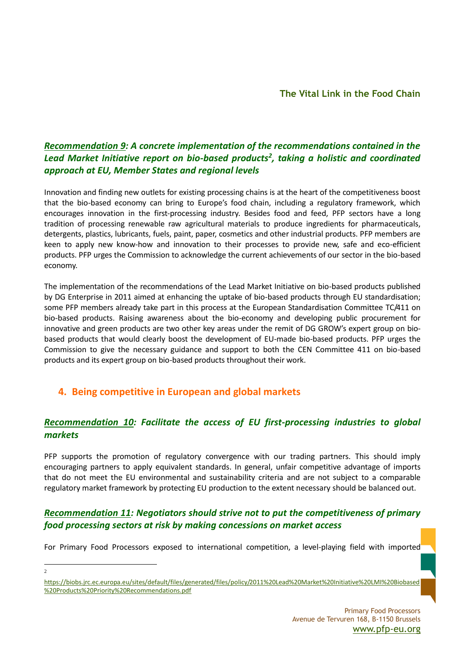## *Recommendation 9: A concrete implementation of the recommendations contained in the Lead Market Initiative report on bio-based products<sup>2</sup> , taking a holistic and coordinated approach at EU, Member States and regional levels*

Innovation and finding new outlets for existing processing chains is at the heart of the competitiveness boost that the bio-based economy can bring to Europe's food chain, including a regulatory framework, which encourages innovation in the first-processing industry. Besides food and feed, PFP sectors have a long tradition of processing renewable raw agricultural materials to produce ingredients for pharmaceuticals, detergents, plastics, lubricants, fuels, paint, paper, cosmetics and other industrial products. PFP members are keen to apply new know-how and innovation to their processes to provide new, safe and eco-efficient products. PFP urges the Commission to acknowledge the current achievements of our sector in the bio-based economy.

The implementation of the recommendations of the Lead Market Initiative on bio-based products published by DG Enterprise in 2011 aimed at enhancing the uptake of bio-based products through EU standardisation; some PFP members already take part in this process at the European Standardisation Committee TC/411 on bio-based products. Raising awareness about the bio-economy and developing public procurement for innovative and green products are two other key areas under the remit of DG GROW's expert group on biobased products that would clearly boost the development of EU-made bio-based products. PFP urges the Commission to give the necessary guidance and support to both the CEN Committee 411 on bio-based products and its expert group on bio-based products throughout their work.

## **4. Being competitive in European and global markets**

## *Recommendation 10: Facilitate the access of EU first-processing industries to global markets*

PFP supports the promotion of regulatory convergence with our trading partners. This should imply encouraging partners to apply equivalent standards. In general, unfair competitive advantage of imports that do not meet the EU environmental and sustainability criteria and are not subject to a comparable regulatory market framework by protecting EU production to the extent necessary should be balanced out.

## *Recommendation 11: Negotiators should strive not to put the competitiveness of primary food processing sectors at risk by making concessions on market access*

For Primary Food Processors exposed to international competition, a level-playing field with imported

1 2

[https://biobs.jrc.ec.europa.eu/sites/default/files/generated/files/policy/2011%20Lead%20Market%20Initiative%20LMI%20Biobased](https://biobs.jrc.ec.europa.eu/sites/default/files/generated/files/policy/2011%20Lead%20Market%20Initiative%20LMI%20Biobased%20Products%20Priority%20Recommendations.pdf) [%20Products%20Priority%20Recommendations.pdf](https://biobs.jrc.ec.europa.eu/sites/default/files/generated/files/policy/2011%20Lead%20Market%20Initiative%20LMI%20Biobased%20Products%20Priority%20Recommendations.pdf)